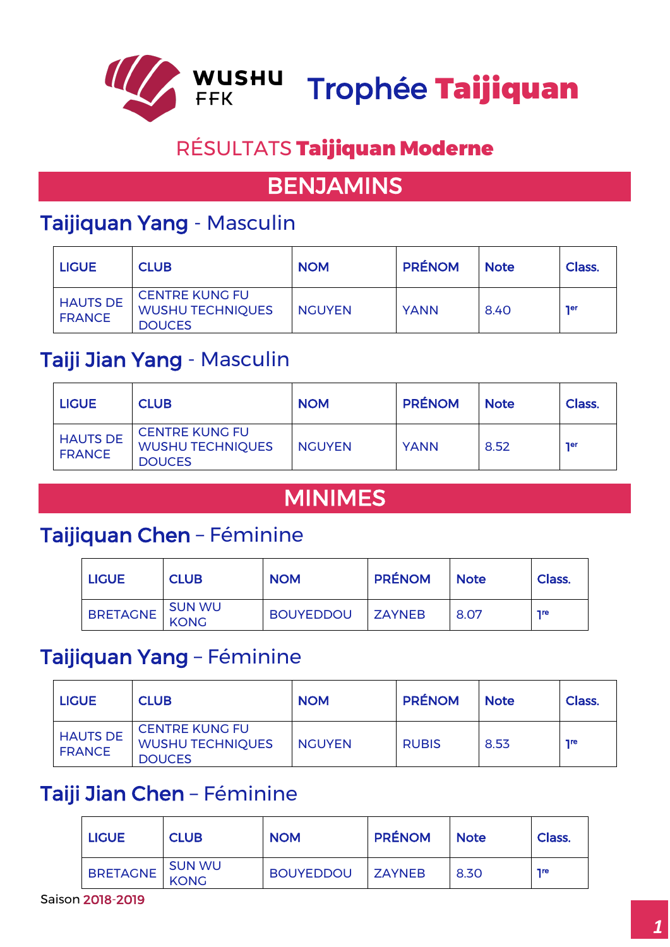

# RÉSULTATS Taijiquan Moderne

## BENJAMINS

## Taijiquan Yang - Masculin

| <b>LIGUE</b>                     | <b>CLUB</b>                                                       | <b>NOM</b>    | <b>PRÉNOM</b> | <b>Note</b> | Class.     |
|----------------------------------|-------------------------------------------------------------------|---------------|---------------|-------------|------------|
| <b>HAUTS DE</b><br><b>FRANCE</b> | <b>CENTRE KUNG FU</b><br><b>WUSHU TECHNIQUES</b><br><b>DOUCES</b> | <b>NGUYEN</b> | <b>YANN</b>   | 8.40        | <b>ner</b> |

#### Taiji Jian Yang - Masculin

| <b>LIGUE</b>                     | <b>CLUB</b>                                                       | <b>NOM</b>    | <b>PRÉNOM</b> | <b>Note</b> | Class.     |
|----------------------------------|-------------------------------------------------------------------|---------------|---------------|-------------|------------|
| <b>HAUTS DE</b><br><b>FRANCE</b> | <b>CENTRE KUNG FU</b><br><b>WUSHU TECHNIQUES</b><br><b>DOUCES</b> | <b>NGUYEN</b> | <b>YANN</b>   | 8.52        | <b>ner</b> |

### MINIMES

#### Taijiquan Chen – Féminine

| <b>LIGUE</b>    | <b>CLUB</b>    | <b>NOM</b>       | <b>PRÉNOM</b> | <b>Note</b> | Class.     |
|-----------------|----------------|------------------|---------------|-------------|------------|
| <b>BRETAGNE</b> | SUN WU<br>KONG | BOUYEDDOU ZAYNEB |               | 8.07        | <b>Tre</b> |

#### Taijiquan Yang – Féminine

| <b>LIGUE</b>                     | <b>CLUB</b>                                                       | <b>NOM</b>    | <b>PRÉNOM</b> | <b>Note</b> | Class.     |
|----------------------------------|-------------------------------------------------------------------|---------------|---------------|-------------|------------|
| <b>HAUTS DE</b><br><b>FRANCE</b> | <b>CENTRE KUNG FU</b><br><b>WUSHU TECHNIQUES</b><br><b>DOUCES</b> | <b>NGUYEN</b> | <b>RUBIS</b>  | 8.53        | <b>Tre</b> |

#### Taiji Jian Chen – Féminine

| <b>LIGUE</b>    | <b>CLUB</b> | <b>NOM</b>       | <b>PRÉNOM</b> | <b>Note</b> | Class.     |
|-----------------|-------------|------------------|---------------|-------------|------------|
| BRETAGNE SUN WU |             | <b>BOUYEDDOU</b> | <b>ZAYNEB</b> | 8.30        | <b>Tre</b> |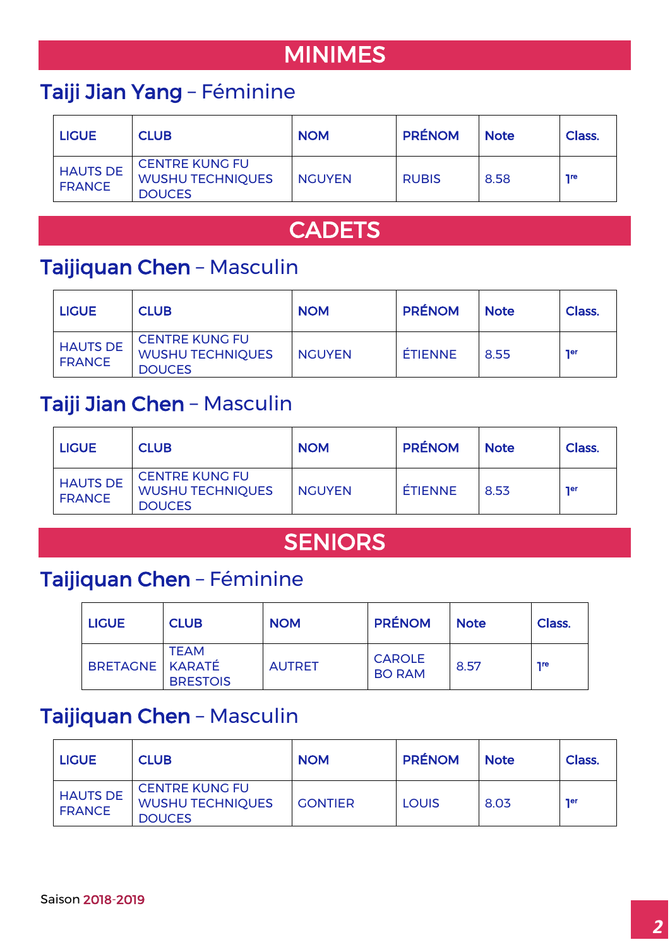# MINIMES

## Taiji Jian Yang – Féminine

| <b>LIGUE</b>                     | <b>CLUB</b>                                                       | <b>NOM</b>    | <b>PRÉNOM</b> | <b>Note</b> | Class.     |
|----------------------------------|-------------------------------------------------------------------|---------------|---------------|-------------|------------|
| <b>HAUTS DE</b><br><b>FRANCE</b> | <b>CENTRE KUNG FU</b><br><b>WUSHU TECHNIQUES</b><br><b>DOUCES</b> | <b>NGUYEN</b> | <b>RUBIS</b>  | 8.58        | <b>Tre</b> |

## **CADETS**

#### Taijiquan Chen – Masculin

| <b>LIGUE</b>                     | <b>CLUB</b>                                                       | <b>NOM</b>    | <b>PRÉNOM</b>  | <b>Note</b> | Class.     |
|----------------------------------|-------------------------------------------------------------------|---------------|----------------|-------------|------------|
| <b>HAUTS DE</b><br><b>FRANCE</b> | <b>CENTRE KUNG FU</b><br><b>WUSHU TECHNIQUES</b><br><b>DOUCES</b> | <b>NGUYEN</b> | <b>ÉTIENNE</b> | 8.55        | <b>Ter</b> |

### Taiji Jian Chen – Masculin

| <b>LIGUE</b>                     | <b>CLUB</b>                                                       | <b>NOM</b>    | <b>PRÉNOM</b>  | <b>Note</b> | Class.     |
|----------------------------------|-------------------------------------------------------------------|---------------|----------------|-------------|------------|
| <b>HAUTS DE</b><br><b>FRANCE</b> | <b>CENTRE KUNG FU</b><br><b>WUSHU TECHNIQUES</b><br><b>DOUCES</b> | <b>NGUYEN</b> | <b>ÉTIENNE</b> | 8.53        | <b>ner</b> |

## **SENIORS**

## Taijiquan Chen – Féminine

| <b>LIGUE</b>      | <b>CLUB</b>                    | <b>NOM</b>    | <b>PRÉNOM</b>                  | <b>Note</b> | Class.     |
|-------------------|--------------------------------|---------------|--------------------------------|-------------|------------|
| BRETAGNE   KARATÉ | <b>TEAM</b><br><b>BRESTOIS</b> | <b>AUTRET</b> | <b>CAROLE</b><br><b>BO RAM</b> | 8.57        | <b>Tre</b> |

### Taijiquan Chen – Masculin

| <b>LIGUE</b>                     | <b>CLUB</b>                                                       | <b>NOM</b>     | <b>PRÉNOM</b> | <b>Note</b> | Class.     |
|----------------------------------|-------------------------------------------------------------------|----------------|---------------|-------------|------------|
| <b>HAUTS DE</b><br><b>FRANCE</b> | <b>CENTRE KUNG FU</b><br><b>WUSHU TECHNIQUES</b><br><b>DOUCES</b> | <b>GONTIER</b> | LOUIS         | 8.03        | <b>ner</b> |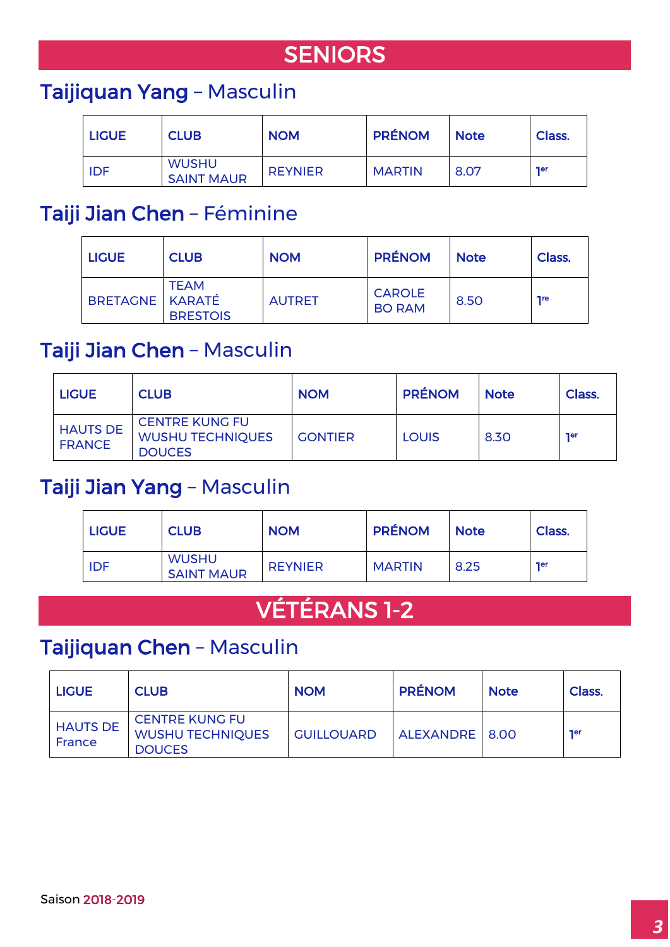# **SENIORS**

## Taijiquan Yang – Masculin

| <b>LIGUE</b> | <b>CLUB</b>                       | <b>NOM</b>     | <b>PRÉNOM</b> | <b>Note</b> | Class.     |
|--------------|-----------------------------------|----------------|---------------|-------------|------------|
| <b>IDF</b>   | <b>WUSHU</b><br><b>SAINT MAUR</b> | <b>REYNIER</b> | <b>MARTIN</b> | 8.07        | <b>ner</b> |

### Taiji Jian Chen – Féminine

| <b>LIGUE</b>    | <b>CLUB</b>                    | <b>NOM</b>    | <b>PRÉNOM</b>                  | <b>Note</b> | Class.     |
|-----------------|--------------------------------|---------------|--------------------------------|-------------|------------|
| BRETAGNE KARATÉ | <b>TEAM</b><br><b>BRESTOIS</b> | <b>AUTRET</b> | <b>CAROLE</b><br><b>BO RAM</b> | 8.50        | <b>Tre</b> |

### Taiji Jian Chen – Masculin

| <b>LIGUE</b>                     | <b>CLUB</b>                                                       | <b>NOM</b>     | <b>PRÉNOM</b> | <b>Note</b> | Class.     |
|----------------------------------|-------------------------------------------------------------------|----------------|---------------|-------------|------------|
| <b>HAUTS DE</b><br><b>FRANCE</b> | <b>CENTRE KUNG FU</b><br><b>WUSHU TECHNIQUES</b><br><b>DOUCES</b> | <b>GONTIER</b> | <b>LOUIS</b>  | 8.30        | <b>ner</b> |

#### Taiji Jian Yang – Masculin

| <b>LIGUE</b> | <b>CLUB</b>                       | <b>NOM</b>     | <b>PRÉNOM</b> | <b>Note</b> | Class.     |
|--------------|-----------------------------------|----------------|---------------|-------------|------------|
| <b>IDF</b>   | <b>WUSHU</b><br><b>SAINT MAUR</b> | <b>REYNIER</b> | <b>MARTIN</b> | 8.25        | <b>ner</b> |

# VÉTÉRANS 1-2

### Taijiquan Chen – Masculin

| <b>LIGUE</b>              | <b>CLUB</b>                                                       | <b>NOM</b>        | <b>PRÉNOM</b>  | <b>Note</b> | Class.     |
|---------------------------|-------------------------------------------------------------------|-------------------|----------------|-------------|------------|
| <b>HAUTS DE</b><br>France | <b>CENTRE KUNG FU</b><br><b>WUSHU TECHNIQUES</b><br><b>DOUCES</b> | <b>GUILLOUARD</b> | ALEXANDRE 8.00 |             | <b>ner</b> |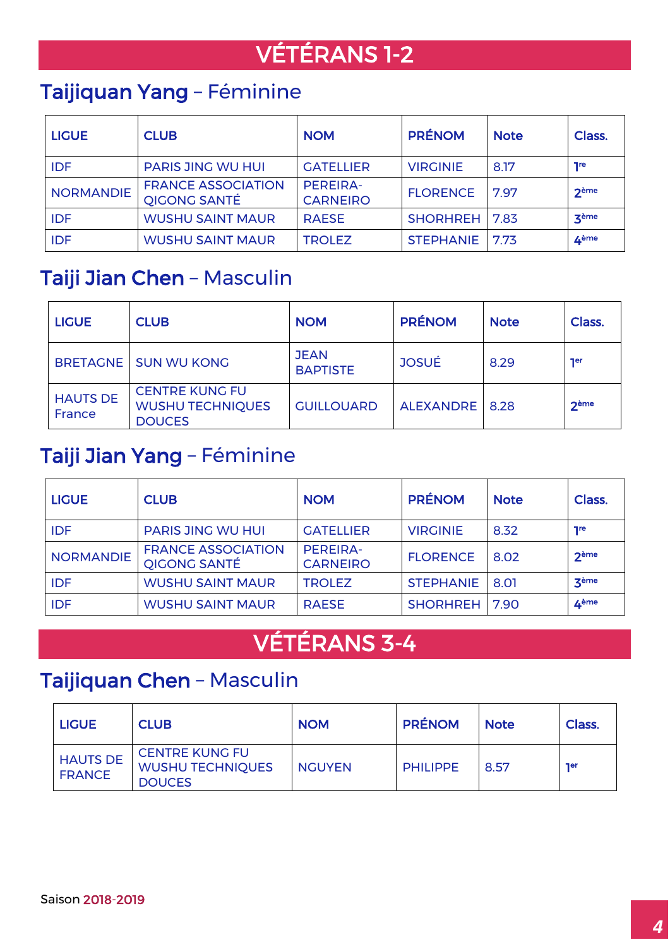# VÉTÉRANS 1-2

## Taijiquan Yang – Féminine

| <b>LIGUE</b>     | <b>CLUB</b>                                      | <b>NOM</b>                         | <b>PRÉNOM</b>    | <b>Note</b> | Class.           |
|------------------|--------------------------------------------------|------------------------------------|------------------|-------------|------------------|
| <b>IDF</b>       | <b>PARIS JING WU HUI</b>                         | <b>GATELLIER</b>                   | <b>VIRGINIE</b>  | 8.17        | <b>Tre</b>       |
| <b>NORMANDIE</b> | <b>FRANCE ASSOCIATION</b><br><b>QIGONG SANTÉ</b> | <b>PEREIRA-</b><br><b>CARNEIRO</b> | <b>FLORENCE</b>  | 7.97        | <b>2ème</b>      |
| <b>IDF</b>       | <b>WUSHU SAINT MAUR</b>                          | <b>RAESE</b>                       | <b>SHORHREH</b>  | 7.83        | 3 <sup>ème</sup> |
| <b>IDF</b>       | <b>WUSHU SAINT MAUR</b>                          | <b>TROLEZ</b>                      | <b>STEPHANIE</b> | 7.73        | 4 <sup>ème</sup> |

### Taiji Jian Chen – Masculin

| <b>LIGUE</b>              | <b>CLUB</b>                                                       | <b>NOM</b>                     | <b>PRÉNOM</b>  | <b>Note</b> | Class.     |
|---------------------------|-------------------------------------------------------------------|--------------------------------|----------------|-------------|------------|
|                           | <b>BRETAGNE I SUN WU KONG</b>                                     | <b>JEAN</b><br><b>BAPTISTE</b> | <b>JOSUÉ</b>   | 8.29        | <b>ner</b> |
| <b>HAUTS DE</b><br>France | <b>CENTRE KUNG FU</b><br><b>WUSHU TECHNIQUES</b><br><b>DOUCES</b> | <b>GUILLOUARD</b>              | ALEXANDRE 8.28 |             | $2$ ème    |

## Taiji Jian Yang – Féminine

| <b>LIGUE</b>     | <b>CLUB</b>                                      | <b>NOM</b>                         | <b>PRÉNOM</b>          | <b>Note</b> | Class.           |
|------------------|--------------------------------------------------|------------------------------------|------------------------|-------------|------------------|
| <b>IDF</b>       | <b>PARIS JING WU HUI</b>                         | <b>GATELLIER</b>                   | <b>VIRGINIE</b>        | 8.32        | <b>Tre</b>       |
| <b>NORMANDIE</b> | <b>FRANCE ASSOCIATION</b><br><b>QIGONG SANTÉ</b> | <b>PEREIRA-</b><br><b>CARNEIRO</b> | <b>FLORENCE</b>        | 8.02        | 2ème             |
| <b>IDF</b>       | <b>WUSHU SAINT MAUR</b>                          | <b>TROLEZ</b>                      | <b>STEPHANIE</b>       | 8.01        | 3 <sup>ème</sup> |
| <b>IDF</b>       | <b>WUSHU SAINT MAUR</b>                          | <b>RAESE</b>                       | <b>SHORHREH   7.90</b> |             | ∡ème             |

# VÉTÉRANS 3-4

## Taijiquan Chen – Masculin

| <b>LIGUE</b>                     | <b>CLUB</b>                                                       | <b>NOM</b>    | <b>PRÉNOM</b>   | <b>Note</b> | Class.     |
|----------------------------------|-------------------------------------------------------------------|---------------|-----------------|-------------|------------|
| <b>HAUTS DE</b><br><b>FRANCE</b> | <b>CENTRE KUNG FU</b><br><b>WUSHU TECHNIQUES</b><br><b>DOUCES</b> | <b>NGUYEN</b> | <b>PHILIPPE</b> | 8.57        | <b>ner</b> |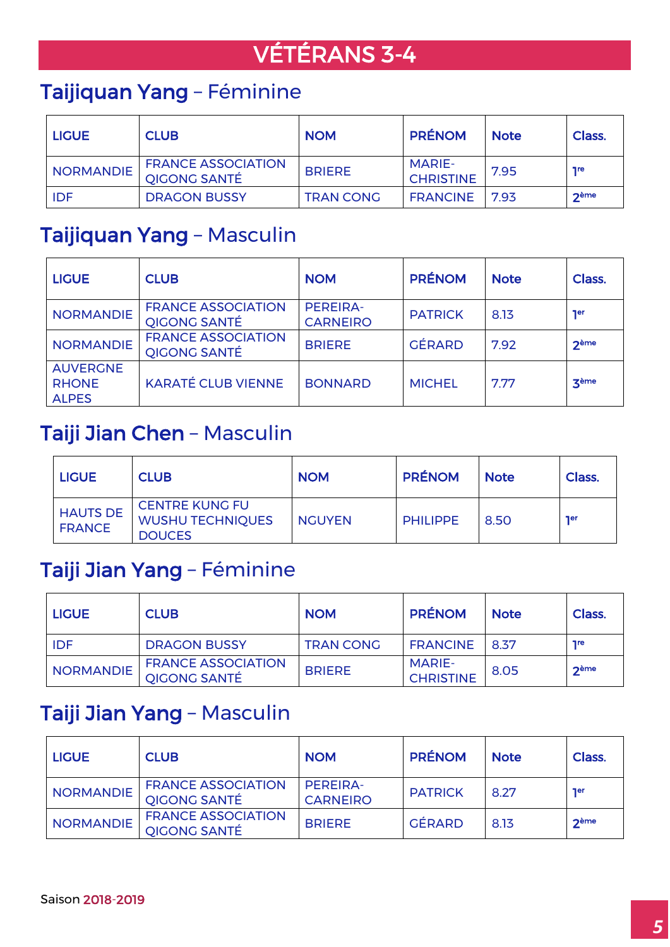# VÉTÉRANS 3-4

## Taijiquan Yang – Féminine

| <b>LIGUE</b>     | <b>CLUB</b>                                      | <b>NOM</b>       | <b>PRÉNOM</b>                     | <b>Note</b> | Class.     |
|------------------|--------------------------------------------------|------------------|-----------------------------------|-------------|------------|
| <b>NORMANDIE</b> | <b>FRANCE ASSOCIATION</b><br><b>QIGONG SANTÉ</b> | <b>BRIERE</b>    | <b>MARIE-</b><br><b>CHRISTINE</b> | 7.95        | <b>1re</b> |
| <b>IDF</b>       | <b>DRAGON BUSSY</b>                              | <b>TRAN CONG</b> | <b>FRANCINE</b>                   | 7.93        | $2$ ème    |

## Taijiquan Yang – Masculin

| <b>LIGUE</b>                                    | <b>CLUB</b>                                      | <b>NOM</b>                  | <b>PRÉNOM</b>  | <b>Note</b> | Class.           |
|-------------------------------------------------|--------------------------------------------------|-----------------------------|----------------|-------------|------------------|
| <b>NORMANDIE</b>                                | <b>FRANCE ASSOCIATION</b><br><b>QIGONG SANTÉ</b> | PEREIRA-<br><b>CARNEIRO</b> | <b>PATRICK</b> | 8.13        | <b>Ter</b>       |
| <b>NORMANDIE</b>                                | <b>FRANCE ASSOCIATION</b><br><b>QIGONG SANTÉ</b> | <b>BRIERE</b>               | <b>GÉRARD</b>  | 7.92        | 2 <sup>eme</sup> |
| <b>AUVERGNE</b><br><b>RHONE</b><br><b>ALPES</b> | <b>KARATÉ CLUB VIENNE</b>                        | <b>BONNARD</b>              | <b>MICHEL</b>  | 7.77        | zème             |

#### Taiji Jian Chen – Masculin

| <b>LIGUE</b>                     | <b>CLUB</b>                                                       | <b>NOM</b>    | <b>PRÉNOM</b>   | <b>Note</b> | Class.     |
|----------------------------------|-------------------------------------------------------------------|---------------|-----------------|-------------|------------|
| <b>HAUTS DE</b><br><b>FRANCE</b> | <b>CENTRE KUNG FU</b><br><b>WUSHU TECHNIQUES</b><br><b>DOUCES</b> | <b>NGUYEN</b> | <b>PHILIPPE</b> | 8.50        | <b>ner</b> |

## Taiji Jian Yang – Féminine

| <b>LIGUE</b>     | <b>CLUB</b>                                      | <b>NOM</b>       | <b>PRÉNOM</b>                     | <b>Note</b> | Class.     |
|------------------|--------------------------------------------------|------------------|-----------------------------------|-------------|------------|
| IDF              | <b>DRAGON BUSSY</b>                              | <b>TRAN CONG</b> | <b>FRANCINE</b>                   | 8.37        | <b>Tre</b> |
| <b>NORMANDIE</b> | <b>FRANCE ASSOCIATION</b><br><b>QIGONG SANTÉ</b> | <b>BRIERE</b>    | <b>MARIE-</b><br><b>CHRISTINE</b> | 8.05        | $2$ ème    |

### Taiji Jian Yang – Masculin

| <b>LIGUE</b>     | <b>CLUB</b>                                      | <b>NOM</b>                  | <b>PRÉNOM</b>  | <b>Note</b> | Class.     |
|------------------|--------------------------------------------------|-----------------------------|----------------|-------------|------------|
| <b>NORMANDIE</b> | <b>FRANCE ASSOCIATION</b><br><b>QIGONG SANTÉ</b> | PEREIRA-<br><b>CARNEIRO</b> | <b>PATRICK</b> | 8.27        | <b>ner</b> |
| <b>NORMANDIE</b> | <b>FRANCE ASSOCIATION</b><br><b>QIGONG SANTÉ</b> | <b>BRIERE</b>               | <b>GÉRARD</b>  | 8.13        | $2$ ème    |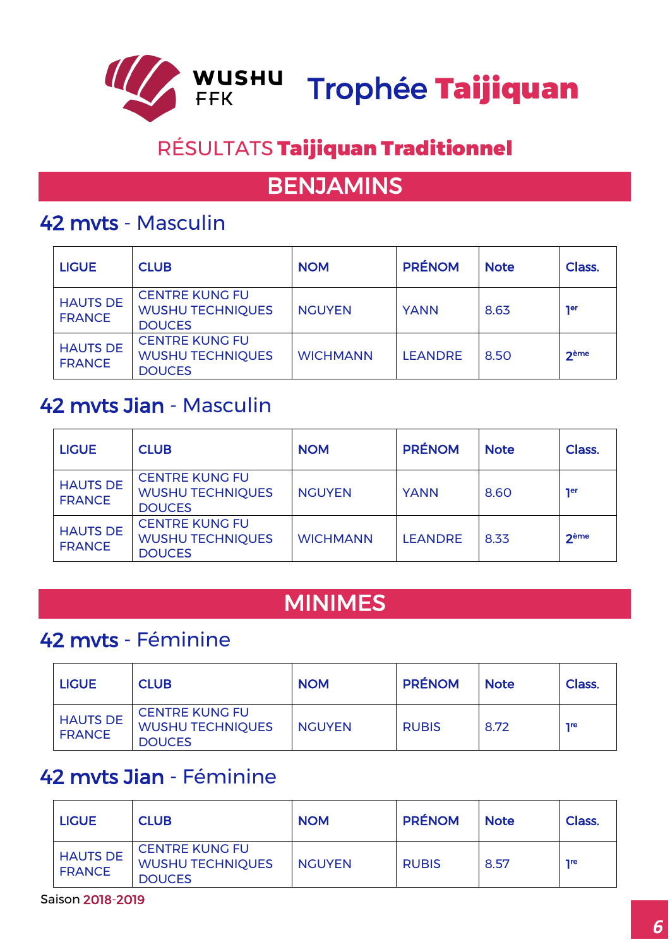

# RÉSULTATS Taijiquan Traditionnel

## BENJAMINS

#### 42 mvts - Masculin

| <b>LIGUE</b>                     | <b>CLUB</b>                                                       | <b>NOM</b>      | <b>PRÉNOM</b>  | <b>Note</b> | Class.          |
|----------------------------------|-------------------------------------------------------------------|-----------------|----------------|-------------|-----------------|
| <b>HAUTS DE</b><br><b>FRANCE</b> | <b>CENTRE KUNG FU</b><br><b>WUSHU TECHNIQUES</b><br><b>DOUCES</b> | <b>NGUYEN</b>   | <b>YANN</b>    | 8.63        | <b>ner</b>      |
| <b>HAUTS DE</b><br><b>FRANCE</b> | <b>CENTRE KUNG FU</b><br><b>WUSHU TECHNIQUES</b><br><b>DOUCES</b> | <b>WICHMANN</b> | <b>LEANDRE</b> | 8.50        | 2 <sub>em</sub> |

#### 42 mvts Jian - Masculin

| <b>LIGUE</b>                     | <b>CLUB</b>                                                       | <b>NOM</b>      | <b>PRÉNOM</b>  | <b>Note</b> | Class.      |
|----------------------------------|-------------------------------------------------------------------|-----------------|----------------|-------------|-------------|
| <b>HAUTS DE</b><br><b>FRANCE</b> | <b>CENTRE KUNG FU</b><br><b>WUSHU TECHNIQUES</b><br><b>DOUCES</b> | <b>NGUYEN</b>   | <b>YANN</b>    | 8.60        | <b>Ter</b>  |
| <b>HAUTS DE</b><br><b>FRANCE</b> | <b>CENTRE KUNG FU</b><br><b>WUSHU TECHNIQUES</b><br><b>DOUCES</b> | <b>WICHMANN</b> | <b>LEANDRE</b> | 8.33        | <b>2ème</b> |

## MINIMES

## 42 mvts - Féminine

| <b>LIGUE</b>                     | <b>CLUB</b>                                                       | <b>NOM</b>    | <b>PRÉNOM</b> | <b>Note</b> | Class.     |
|----------------------------------|-------------------------------------------------------------------|---------------|---------------|-------------|------------|
| <b>HAUTS DE</b><br><b>FRANCE</b> | <b>CENTRE KUNG FU</b><br><b>WUSHU TECHNIQUES</b><br><b>DOUCES</b> | <b>NGUYEN</b> | <b>RUBIS</b>  | 8.72        | <b>Tre</b> |

### 42 mvts Jian - Féminine

| <b>LIGUE</b>                     | <b>CLUB</b>                                                       | <b>NOM</b>    | <b>PRÉNOM</b> | <b>Note</b> | Class.     |
|----------------------------------|-------------------------------------------------------------------|---------------|---------------|-------------|------------|
| <b>HAUTS DE</b><br><b>FRANCE</b> | <b>CENTRE KUNG FU</b><br><b>WUSHU TECHNIQUES</b><br><b>DOUCES</b> | <b>NGUYEN</b> | <b>RUBIS</b>  | 8.57        | <b>Tre</b> |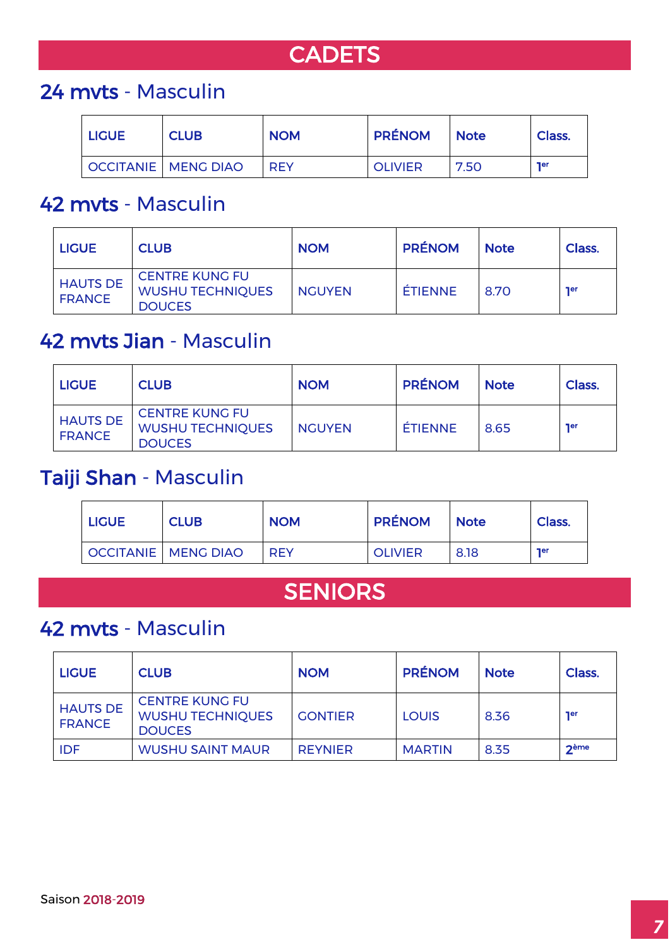## **CADETS**

### 24 mvts - Masculin

| <b>LIGUE</b> | <b>CLUB</b>                  | <b>NOM</b> | <b>PRÉNOM</b>  | I Note | Class.     |
|--------------|------------------------------|------------|----------------|--------|------------|
|              | <b>OCCITANIE   MENG DIAO</b> | <b>RFY</b> | <b>OLIVIER</b> | 7.50   | <b>ner</b> |

### 42 mvts - Masculin

| <b>LIGUE</b>                     | <b>CLUB</b>                                                       | <b>NOM</b>    | <b>PRÉNOM</b>  | <b>Note</b> | Class.     |
|----------------------------------|-------------------------------------------------------------------|---------------|----------------|-------------|------------|
| <b>HAUTS DE</b><br><b>FRANCE</b> | <b>CENTRE KUNG FU</b><br><b>WUSHU TECHNIQUES</b><br><b>DOUCES</b> | <b>NGUYEN</b> | <b>ÉTIENNE</b> | 8.70        | <b>ner</b> |

### 42 mvts Jian - Masculin

| <b>LIGUE</b>                     | <b>CLUB</b>                                                       | <b>NOM</b>    | <b>PRÉNOM</b>  | <b>Note</b> | Class.     |
|----------------------------------|-------------------------------------------------------------------|---------------|----------------|-------------|------------|
| <b>HAUTS DE</b><br><b>FRANCE</b> | <b>CENTRE KUNG FU</b><br><b>WUSHU TECHNIQUES</b><br><b>DOUCES</b> | <b>NGUYEN</b> | <b>ÉTIENNE</b> | 8.65        | <b>Ter</b> |

### Taiji Shan - Masculin

| <b>LIGUE</b> | <b>CLUB</b>                  | <b>NOM</b> | <b>PRÉNOM</b>  | <b>Note</b> | Class.     |
|--------------|------------------------------|------------|----------------|-------------|------------|
|              | <b>OCCITANIE   MENG DIAO</b> | <b>RFY</b> | <b>OLIVIER</b> | 8.18        | <b>ner</b> |

## SENIORS

## 42 mvts - Masculin

| <b>LIGUE</b>                     | <b>CLUB</b>                                                       | <b>NOM</b>     | <b>PRÉNOM</b> | <b>Note</b> | Class.     |
|----------------------------------|-------------------------------------------------------------------|----------------|---------------|-------------|------------|
| <b>HAUTS DE</b><br><b>FRANCE</b> | <b>CENTRE KUNG FU</b><br><b>WUSHU TECHNIQUES</b><br><b>DOUCES</b> | <b>GONTIER</b> | <b>LOUIS</b>  | 8.36        | <b>ner</b> |
| <b>IDF</b>                       | <b>WUSHU SAINT MAUR</b>                                           | <b>REYNIER</b> | <b>MARTIN</b> | 8.35        | $2$ ème    |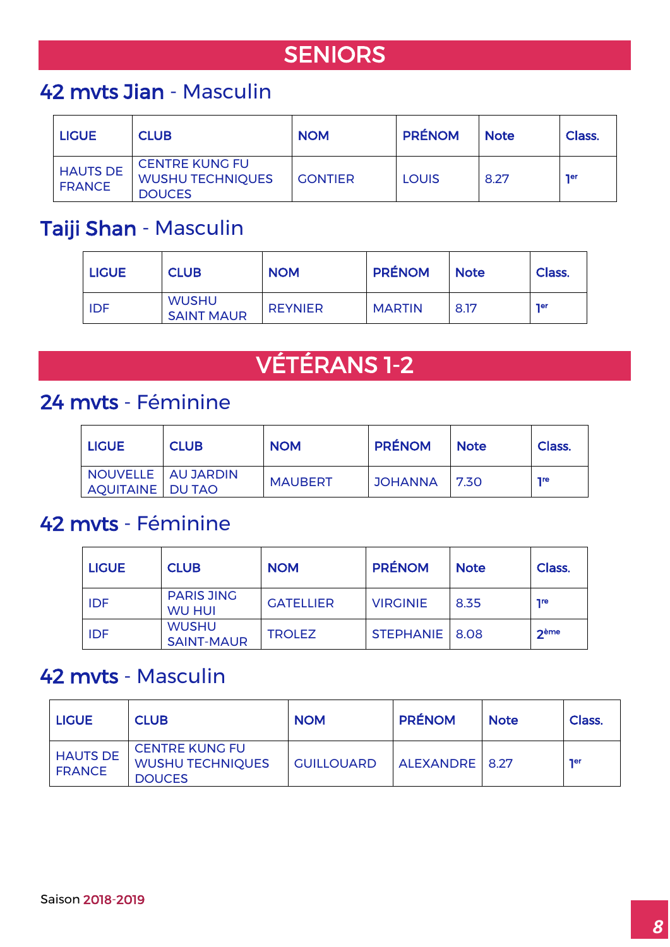# **SENIORS**

## 42 mvts Jian - Masculin

| <b>LIGUE</b>                     | <b>CLUB</b>                                                       | <b>NOM</b>     | <b>PRÉNOM</b> | <b>Note</b> | Class.     |
|----------------------------------|-------------------------------------------------------------------|----------------|---------------|-------------|------------|
| <b>HAUTS DE</b><br><b>FRANCE</b> | <b>CENTRE KUNG FU</b><br><b>WUSHU TECHNIQUES</b><br><b>DOUCES</b> | <b>GONTIER</b> | LOUIS         | 8.27        | <b>Ter</b> |

## Taiji Shan - Masculin

| <b>LIGUE</b> | <b>CLUB</b>                       | <b>NOM</b>     | <b>PRÉNOM</b> | <b>Note</b> | Class.     |
|--------------|-----------------------------------|----------------|---------------|-------------|------------|
| <b>IDF</b>   | <b>WUSHU</b><br><b>SAINT MAUR</b> | <b>REYNIER</b> | <b>MARTIN</b> | 8.17        | <b>ner</b> |

# VÉTÉRANS 1-2

### 24 mvts - Féminine

| <b>LIGUE</b>                             | <b>CLUB</b> | <b>NOM</b>     | <b>PRÉNOM</b> | <b>Note</b> | Class.     |
|------------------------------------------|-------------|----------------|---------------|-------------|------------|
| NOUVELLE AU JARDIN<br>AQUITAINE   DU TAO |             | <b>MAUBERT</b> | JOHANNA 7.30  |             | <b>Tre</b> |

### 42 mvts - Féminine

| <b>LIGUE</b> | <b>CLUB</b>                        | <b>NOM</b>       | <b>PRÉNOM</b>    | <b>Note</b> | Class.     |
|--------------|------------------------------------|------------------|------------------|-------------|------------|
| <b>IDF</b>   | <b>PARIS JING</b><br><b>WU HUI</b> | <b>GATELLIER</b> | <b>VIRGINIE</b>  | 8.35        | <b>Tre</b> |
| IDF          | <b>WUSHU</b><br><b>SAINT-MAUR</b>  | <b>TROLEZ</b>    | STEPHANIE   8.08 |             | $2$ ème    |

#### 42 mvts - Masculin

| <b>LIGUE</b>                     | <b>CLUB</b>                                                       | <b>NOM</b>        | <b>PRÉNOM</b>    | <b>Note</b> | Class.     |
|----------------------------------|-------------------------------------------------------------------|-------------------|------------------|-------------|------------|
| <b>HAUTS DE</b><br><b>FRANCE</b> | <b>CENTRE KUNG FU</b><br><b>WUSHU TECHNIQUES</b><br><b>DOUCES</b> | <b>GUILLOUARD</b> | ALEXANDRE   8.27 |             | <b>ner</b> |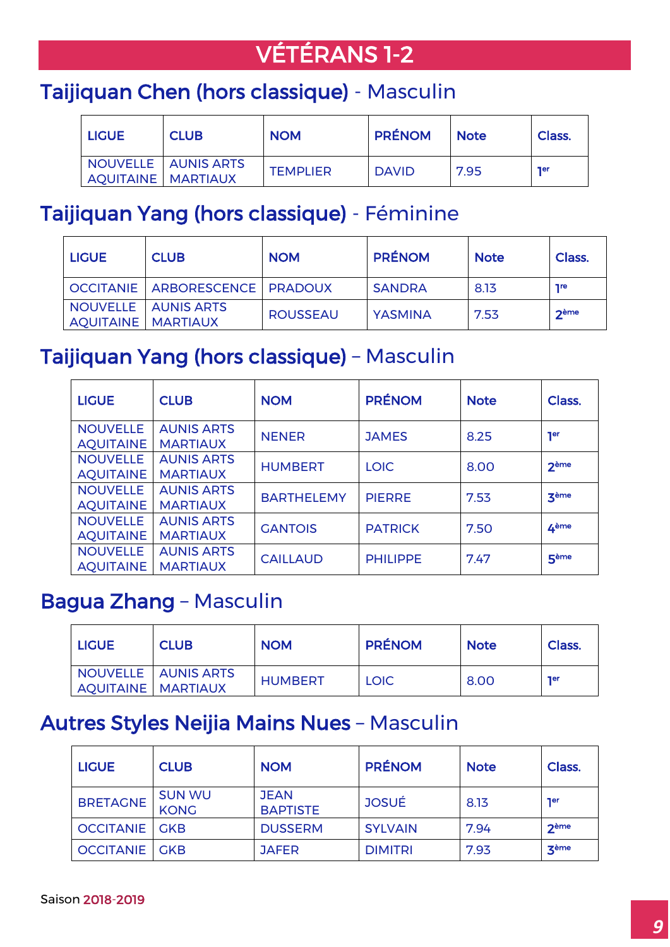# VÉTÉRANS 1-2

## Taijiquan Chen (hors classique) - Masculin

| <b>LIGUE</b>                | <b>CLUB</b>                | <b>NOM</b>      | <b>PRÉNOM</b> | <b>Note</b> | Class.     |
|-----------------------------|----------------------------|-----------------|---------------|-------------|------------|
| <b>AQUITAINE   MARTIAUX</b> | <b>NOUVELLE AUNIS ARTS</b> | <b>TEMPLIER</b> | <b>DAVID</b>  | 7.95        | <b>Ter</b> |

### Taijiquan Yang (hors classique) - Féminine

| <b>LIGUE</b>                | <b>CLUB</b>                        | <b>NOM</b>      | <b>PRÉNOM</b> | <b>Note</b> | Class.     |
|-----------------------------|------------------------------------|-----------------|---------------|-------------|------------|
|                             | OCCITANIE   ARBORESCENCE   PRADOUX |                 | <b>SANDRA</b> | 8.13        | <b>Tre</b> |
| <b>AQUITAINE   MARTIAUX</b> | NOUVELLE   AUNIS ARTS              | <b>ROUSSEAU</b> | YASMINA       | 7.53        | $2$ ème    |

## Taijiquan Yang (hors classique) – Masculin

| <b>LIGUE</b>                        | <b>CLUB</b>                          | <b>NOM</b>        | <b>PRÉNOM</b>   | <b>Note</b> | Class.           |
|-------------------------------------|--------------------------------------|-------------------|-----------------|-------------|------------------|
| <b>NOUVELLE</b><br><b>AQUITAINE</b> | <b>AUNIS ARTS</b><br><b>MARTIAUX</b> | <b>NENER</b>      | <b>JAMES</b>    | 8.25        | 1 <sup>er</sup>  |
| <b>NOUVELLE</b><br><b>AQUITAINE</b> | <b>AUNIS ARTS</b><br><b>MARTIAUX</b> | <b>HUMBERT</b>    | <b>LOIC</b>     | 8.00        | <b>2ème</b>      |
| <b>NOUVELLE</b><br><b>AQUITAINE</b> | <b>AUNIS ARTS</b><br><b>MARTIAUX</b> | <b>BARTHELEMY</b> | <b>PIERRE</b>   | 7.53        | zème             |
| <b>NOUVELLE</b><br><b>AQUITAINE</b> | <b>AUNIS ARTS</b><br><b>MARTIAUX</b> | <b>GANTOIS</b>    | <b>PATRICK</b>  | 7.50        | 4 <sup>ème</sup> |
| <b>NOUVELLE</b><br><b>AQUITAINE</b> | <b>AUNIS ARTS</b><br><b>MARTIAUX</b> | <b>CAILLAUD</b>   | <b>PHILIPPE</b> | 7.47        | 5 <sup>ème</sup> |

### Bagua Zhang – Masculin

| <b>LIGUE</b>         | <b>CLUB</b>         | <b>NOM</b>     | <b>PRÉNOM</b> | <b>Note</b> | Class.     |
|----------------------|---------------------|----------------|---------------|-------------|------------|
| AQUITAINE   MARTIAUX | NOUVELLE AUNIS ARTS | <b>HUMBERT</b> | <b>LOIC</b>   | 8.00        | <b>Ter</b> |

## Autres Styles Neijia Mains Nues – Masculin

| <b>LIGUE</b>           | <b>CLUB</b>                  | <b>NOM</b>                     | <b>PRÉNOM</b>  | <b>Note</b> | Class.       |
|------------------------|------------------------------|--------------------------------|----------------|-------------|--------------|
| <b>BRETAGNE</b>        | <b>SUN WU</b><br><b>KONG</b> | <b>JEAN</b><br><b>BAPTISTE</b> | <b>JOSUÉ</b>   | 8.13        | <b>Ter</b>   |
| <b>OCCITANIE</b>   GKB |                              | <b>DUSSERM</b>                 | <b>SYLVAIN</b> | 7.94        | $2$ ème      |
| <b>OCCITANIE</b>   GKB |                              | <b>JAFER</b>                   | <b>DIMITRI</b> | 7.93        | <b>3</b> ème |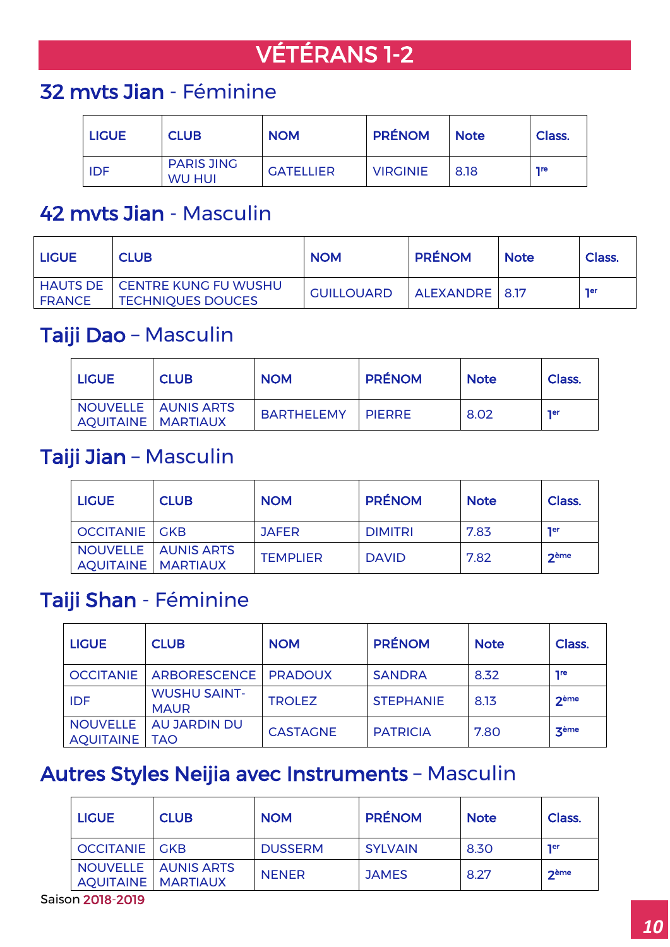# VÉTÉRANS 1-2

## 32 mvts Jian - Féminine

| <b>LIGUE</b> | <b>CLUB</b>                        | <b>NOM</b>       | <b>PRÉNOM</b>   | <b>Note</b> | Class.     |
|--------------|------------------------------------|------------------|-----------------|-------------|------------|
| <b>IDF</b>   | <b>PARIS JING</b><br><b>WU HUI</b> | <b>GATELLIER</b> | <b>VIRGINIE</b> | 8.18        | <b>Tre</b> |

### 42 mvts Jian - Masculin

| I LIGUE.      | <b>CLUB</b>                                                        | <b>NOM</b>        | <b>PRÉNOM</b>    | <b>Note</b> | Class. |
|---------------|--------------------------------------------------------------------|-------------------|------------------|-------------|--------|
| <b>FRANCE</b> | <b>HAUTS DE   CENTRE KUNG FU WUSHU</b><br><b>TECHNIQUES DOUCES</b> | <b>GUILLOUARD</b> | ALEXANDRE   8.17 |             | ner    |

#### Taiji Dao – Masculin

| <b>LIGUE</b>              | <b>CLUB</b>                | <b>NOM</b> | <b>PRÉNOM</b>   | <b>Note</b> | Class.     |
|---------------------------|----------------------------|------------|-----------------|-------------|------------|
| <b>AQUITAINE MARTIAUX</b> | <b>NOUVELLE AUNIS ARTS</b> | BARTHELEMY | <b>I PIFRRE</b> | 8.02        | <b>ner</b> |

#### Taiji Jian – Masculin

| <b>LIGUE</b>                | <b>CLUB</b>           | <b>NOM</b>      | <b>PRÉNOM</b>  | <b>Note</b> | Class.     |
|-----------------------------|-----------------------|-----------------|----------------|-------------|------------|
| <b>OCCITANIE GKB</b>        |                       | <b>JAFER</b>    | <b>DIMITRI</b> | 7.83        | <b>Ter</b> |
| <b>AQUITAINE   MARTIAUX</b> | NOUVELLE   AUNIS ARTS | <b>TEMPLIER</b> | <b>DAVID</b>   | 7.82        | $2$ ème    |

## Taiji Shan - Féminine

| <b>LIGUE</b>                        | <b>CLUB</b>                        | <b>NOM</b>      | <b>PRÉNOM</b>    | <b>Note</b> | Class.       |
|-------------------------------------|------------------------------------|-----------------|------------------|-------------|--------------|
| <b>OCCITANIE</b>                    | ARBORESCENCE   PRADOUX             |                 | <b>SANDRA</b>    | 8.32        | <b>Tre</b>   |
| <b>IDF</b>                          | <b>WUSHU SAINT-</b><br><b>MAUR</b> | <b>TROLEZ</b>   | <b>STEPHANIE</b> | 8.13        | $2$ ème      |
| <b>NOUVELLE</b><br><b>AQUITAINE</b> | AU JARDIN DU<br>TAO                | <b>CASTAGNE</b> | <b>PATRICIA</b>  | 7.80        | <b>3</b> ème |

## Autres Styles Neijia avec Instruments – Masculin

| <b>LIGUE</b>                | <b>CLUB</b>           | <b>NOM</b>     | <b>PRÉNOM</b>  | <b>Note</b> | Class.     |
|-----------------------------|-----------------------|----------------|----------------|-------------|------------|
| <b>OCCITANIE GKB</b>        |                       | <b>DUSSERM</b> | <b>SYLVAIN</b> | 8.30        | <b>Ter</b> |
| <b>AQUITAINE   MARTIAUX</b> | NOUVELLE   AUNIS ARTS | <b>NENER</b>   | <b>JAMES</b>   | 8.27        | $2$ ème    |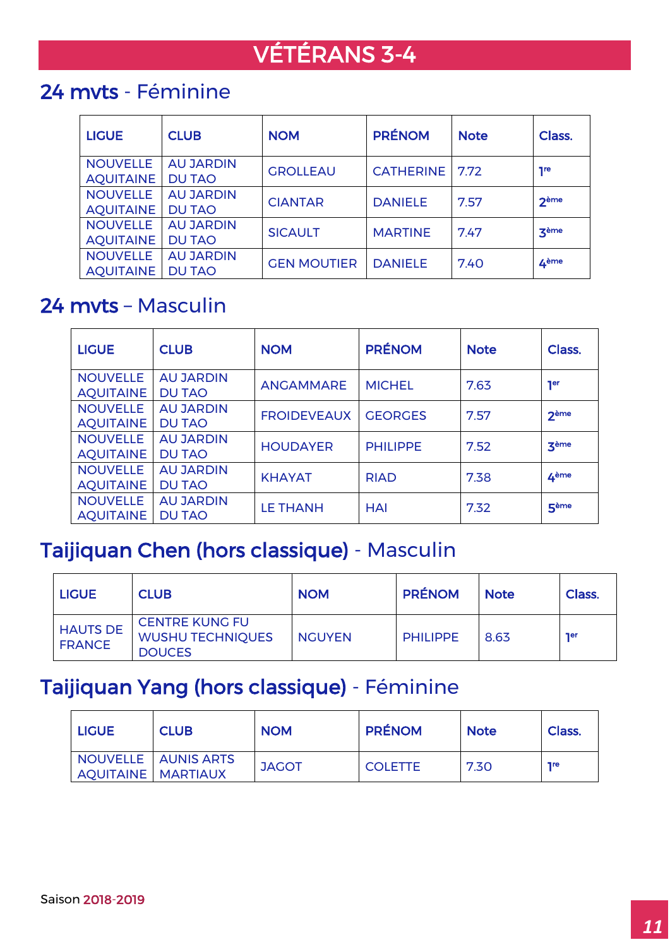# VÉTÉRANS 3-4

## 24 mvts - Féminine

| <b>LIGUE</b>                        | <b>CLUB</b>                       | <b>NOM</b>         | <b>PRÉNOM</b>    | <b>Note</b> | Class.           |
|-------------------------------------|-----------------------------------|--------------------|------------------|-------------|------------------|
| <b>NOUVELLE</b><br><b>AQUITAINE</b> | <b>AU JARDIN</b><br><b>DU TAO</b> | <b>GROLLEAU</b>    | <b>CATHERINE</b> | 7.72        | 7 <sub>re</sub>  |
| <b>NOUVELLE</b>                     | <b>AU JARDIN</b>                  | <b>CIANTAR</b>     | <b>DANIELE</b>   | 7.57        | 2 <sup>ème</sup> |
| <b>AQUITAINE</b><br><b>NOUVELLE</b> | <b>DU TAO</b><br><b>AU JARDIN</b> | <b>SICAULT</b>     | <b>MARTINE</b>   | 7.47        | <b>3</b> ème     |
| <b>AQUITAINE</b>                    | <b>DU TAO</b>                     |                    |                  |             |                  |
| <b>NOUVELLE</b><br><b>AQUITAINE</b> | <b>AU JARDIN</b><br><b>DU TAO</b> | <b>GEN MOUTIER</b> | <b>DANIELE</b>   | 7.40        | 4 <sup>ème</sup> |

## 24 mvts – Masculin

| <b>LIGUE</b>                        | <b>CLUB</b>                       | <b>NOM</b>         | <b>PRÉNOM</b>   | <b>Note</b> | Class.           |
|-------------------------------------|-----------------------------------|--------------------|-----------------|-------------|------------------|
| <b>NOUVELLE</b><br><b>AQUITAINE</b> | <b>AU JARDIN</b><br><b>DU TAO</b> | <b>ANGAMMARE</b>   | <b>MICHEL</b>   | 7.63        | <b>Ter</b>       |
| <b>NOUVELLE</b><br><b>AQUITAINE</b> | <b>AU JARDIN</b><br><b>DU TAO</b> | <b>FROIDEVEAUX</b> | <b>GEORGES</b>  | 7.57        | 2ème             |
| <b>NOUVELLE</b><br><b>AQUITAINE</b> | <b>AU JARDIN</b><br><b>DU TAO</b> | <b>HOUDAYER</b>    | <b>PHILIPPE</b> | 7.52        | zème             |
| <b>NOUVELLE</b><br><b>AQUITAINE</b> | <b>AU JARDIN</b><br><b>DU TAO</b> | <b>KHAYAT</b>      | <b>RIAD</b>     | 7.38        | 4 <sup>ème</sup> |
| <b>NOUVELLE</b><br><b>AQUITAINE</b> | <b>AU JARDIN</b><br><b>DU TAO</b> | <b>LE THANH</b>    | <b>HAI</b>      | 7.32        | 5 <sup>ème</sup> |

### Taijiquan Chen (hors classique) - Masculin

| I LIGUE                          | <b>CLUB</b>                                                       | <b>NOM</b>    | <b>PRÉNOM</b>   | <b>Note</b> | Class.     |
|----------------------------------|-------------------------------------------------------------------|---------------|-----------------|-------------|------------|
| <b>HAUTS DE</b><br><b>FRANCE</b> | <b>CENTRE KUNG FU</b><br><b>WUSHU TECHNIQUES</b><br><b>DOUCES</b> | <b>NGUYEN</b> | <b>PHILIPPE</b> | 8.63        | <b>ner</b> |

### Taijiquan Yang (hors classique) - Féminine

| <b>LIGUE</b>              | <b>CLUB</b>         | <b>NOM</b>   | <b>PRÉNOM</b>  | <b>Note</b> | Class.     |
|---------------------------|---------------------|--------------|----------------|-------------|------------|
| <b>AQUITAINE MARTIAUX</b> | NOUVELLE AUNIS ARTS | <b>JAGOT</b> | <b>COLETTE</b> | 7.30        | <b>Tre</b> |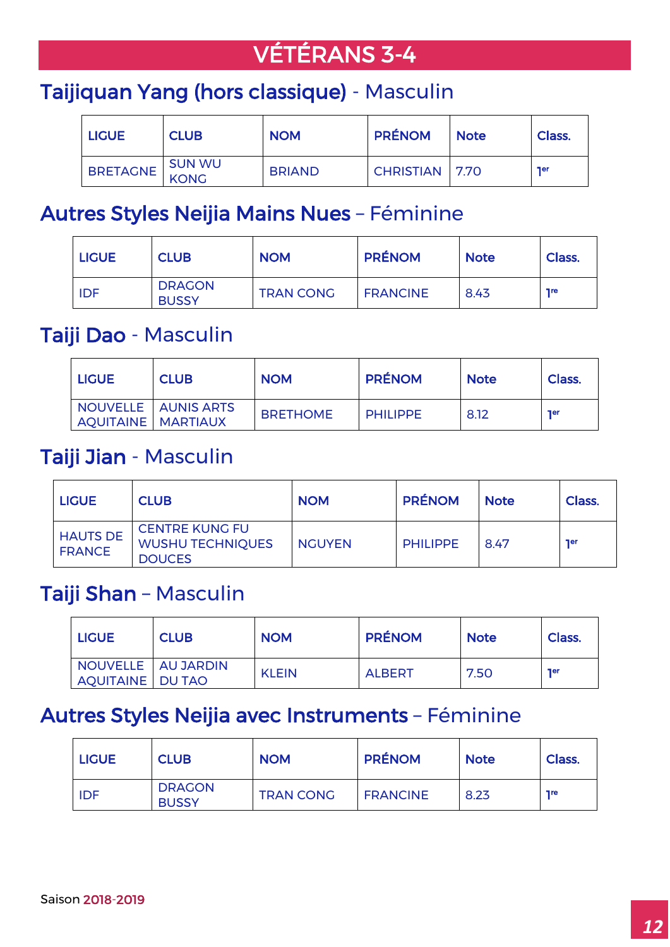# VÉTÉRANS 3-4

## Taijiquan Yang (hors classique) - Masculin

| <b>LIGUE</b>    | <b>CLUB</b> | <b>NOM</b>    | <b>PRÉNOM</b>         | <b>Note</b> | Class.     |
|-----------------|-------------|---------------|-----------------------|-------------|------------|
| <b>BRETAGNE</b> | SUN WU      | <b>BRIAND</b> | <b>CHRISTIAN</b> 7.70 |             | <b>Ter</b> |

#### Autres Styles Neijia Mains Nues – Féminine

| <b>LIGUE</b> | <b>CLUB</b>                   | <b>NOM</b>       | <b>PRÉNOM</b>   | <b>Note</b> | Class.     |
|--------------|-------------------------------|------------------|-----------------|-------------|------------|
| <b>IDF</b>   | <b>DRAGON</b><br><b>BUSSY</b> | <b>TRAN CONG</b> | <b>FRANCINE</b> | 8.43        | <b>Tre</b> |

#### Taiji Dao - Masculin

| <b>LIGUE</b>                | <b>CLUB</b>           | <b>NOM</b>      | <b>PRÉNOM</b>   | <b>Note</b> | Class.     |
|-----------------------------|-----------------------|-----------------|-----------------|-------------|------------|
| <b>AQUITAINE   MARTIAUX</b> | NOUVELLE   AUNIS ARTS | <b>BRETHOME</b> | <b>PHILIPPE</b> | 8.12        | <b>Ter</b> |

#### Taiji Jian - Masculin

| <b>LIGUE</b>                     | <b>CLUB</b>                                                       | <b>NOM</b>    | <b>PRÉNOM</b>   | <b>Note</b> | Class.     |
|----------------------------------|-------------------------------------------------------------------|---------------|-----------------|-------------|------------|
| <b>HAUTS DE</b><br><b>FRANCE</b> | <b>CENTRE KUNG FU</b><br><b>WUSHU TECHNIQUES</b><br><b>DOUCES</b> | <b>NGUYEN</b> | <b>PHILIPPE</b> | 8.47        | <b>ner</b> |

#### Taiji Shan – Masculin

| <b>LIGUE</b>                               | <b>CLUB</b> | <b>NOM</b>   | <b>PRÉNOM</b> | <b>Note</b> | Class.     |
|--------------------------------------------|-------------|--------------|---------------|-------------|------------|
| I NOUVELLE   AU JARDIN<br>AQUITAINE DU TAO |             | <b>KLEIN</b> | <b>ALBERT</b> | 7.50        | <b>Ter</b> |

### Autres Styles Neijia avec Instruments – Féminine

| <b>LIGUE</b> | <b>CLUB</b>                   | <b>NOM</b>       | <b>PRÉNOM</b>   | <b>Note</b> | Class.     |
|--------------|-------------------------------|------------------|-----------------|-------------|------------|
| <b>IDF</b>   | <b>DRAGON</b><br><b>BUSSY</b> | <b>TRAN CONG</b> | <b>FRANCINE</b> | 8.23        | <b>Tre</b> |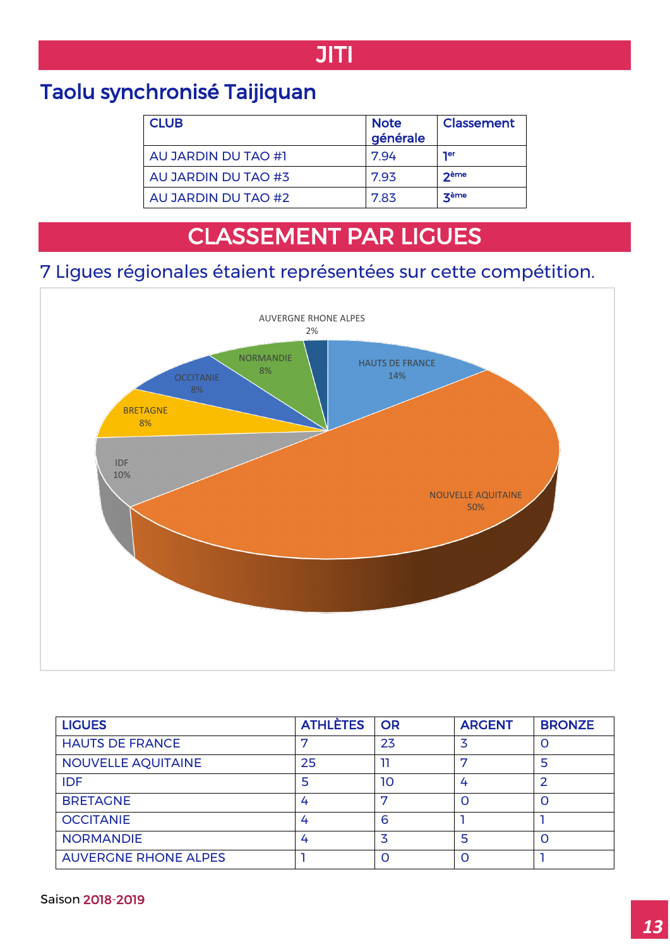## JITI

## Taolu synchronisé Taijiquan

 $\overline{a}$ 

| <b>CLUB</b>         | <b>Note</b><br>générale | Classement |
|---------------------|-------------------------|------------|
| AU JARDIN DU TAO #1 | 7.94                    | <b>Ter</b> |
| AU JARDIN DU TAO #3 | 793                     | $2$ ème    |
| AU JARDIN DU TAO #2 | 7.83                    | zème       |

# CLASSEMENT PAR LIGUES

#### 7 Ligues régionales étaient représentées sur cette compétition.



| <b>LIGUES</b>               | <b>ATHLÈTES</b> | <b>OR</b> | <b>ARGENT</b> | <b>BRONZE</b> |
|-----------------------------|-----------------|-----------|---------------|---------------|
| <b>HAUTS DE FRANCE</b>      |                 | 23        |               | O             |
| <b>NOUVELLE AQUITAINE</b>   | 25              |           | −             | 5             |
| <b>IDF</b>                  |                 | 10        |               |               |
| <b>BRETAGNE</b>             | 4               | ⇁         |               | Ω             |
| <b>OCCITANIE</b>            | 4               | 6         |               |               |
| <b>NORMANDIE</b>            | 4               | 3         | 5             | $\Omega$      |
| <b>AUVERGNE RHONE ALPES</b> |                 | O         |               |               |